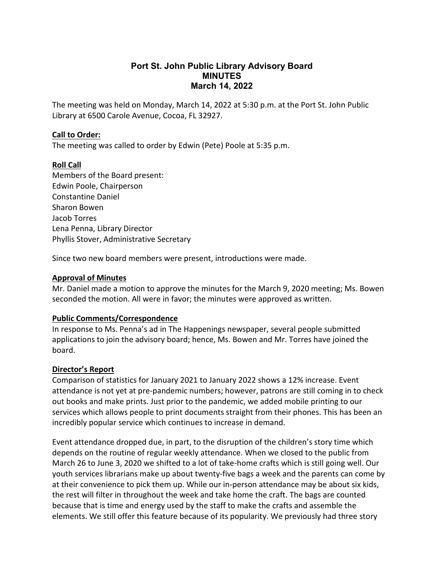## **Port St. John Public Library Advisory Board MINUTES March 14, 2022**

The meeting was held on Monday, March 14, 2022 at 5:30 p.m. at the Port St. John Public Library at 6500 Carole Avenue, Cocoa, FL 32927.

### **Call to Order:**

The meeting was called to order by Edwin (Pete) Poole at 5:35 p.m.

## **Roll Call**

Members of the Board present: Edwin Poole, Chairperson Constantine Daniel Sharon Bowen Jacob Torres Lena Penna, Library Director Phyllis Stover, Administrative Secretary

Since two new board members were present, introductions were made.

## **Approval of Minutes**

Mr. Daniel made a motion to approve the minutes for the March 9, 2020 meeting; Ms. Bowen seconded the motion. All were in favor; the minutes were approved as written.

## **Public Comments/Correspondence**

In response to Ms. Penna's ad in The Happenings newspaper, several people submitted applications to join the advisory board; hence, Ms. Bowen and Mr. Torres have joined the board.

#### **Director's Report**

Comparison of statistics for January 2021 to January 2022 shows a 12% increase. Event attendance is not yet at pre-pandemic numbers; however, patrons are still coming in to check out books and make prints. Just prior to the pandemic, we added mobile printing to our services which allows people to print documents straight from their phones. This has been an incredibly popular service which continues to increase in demand.

Event attendance dropped due, in part, to the disruption of the children's story time which depends on the routine of regular weekly attendance. When we closed to the public from March 26 to June 3, 2020 we shifted to a lot of take-home crafts which is still going well. Our youth services librarians make up about twenty-five bags a week and the parents can come by at their convenience to pick them up. While our in-person attendance may be about six kids, the rest will filter in throughout the week and take home the craft. The bags are counted because that is time and energy used by the staff to make the crafts and assemble the elements. We still offer this feature because of its popularity. We previously had three story